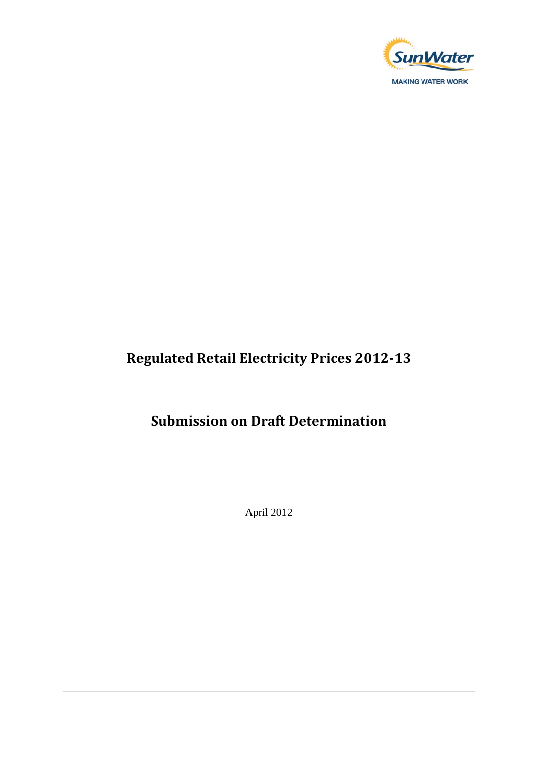

## **Regulated Retail Electricity Prices 2012-13**

## **Submission on Draft Determination**

April 2012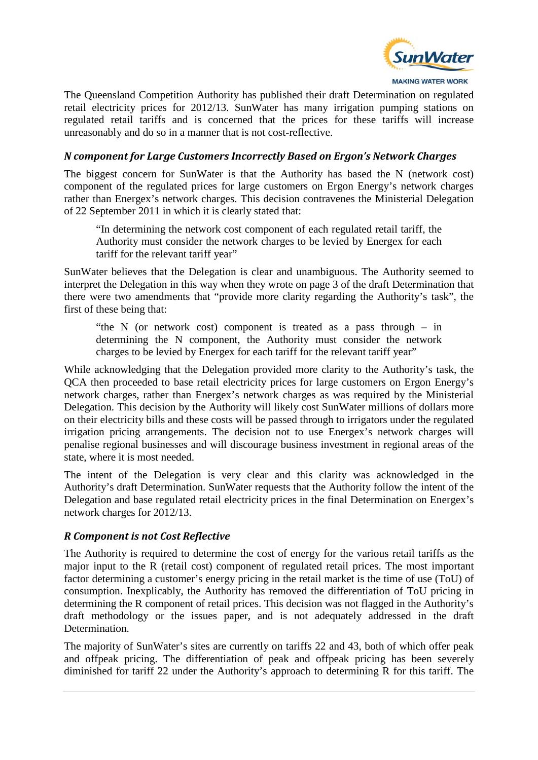

The Queensland Competition Authority has published their draft Determination on regulated retail electricity prices for 2012/13. SunWater has many irrigation pumping stations on regulated retail tariffs and is concerned that the prices for these tariffs will increase unreasonably and do so in a manner that is not cost-reflective.

## *N component for Large Customers Incorrectly Based on Ergon's Network Charges*

The biggest concern for SunWater is that the Authority has based the N (network cost) component of the regulated prices for large customers on Ergon Energy's network charges rather than Energex's network charges. This decision contravenes the Ministerial Delegation of 22 September 2011 in which it is clearly stated that:

"In determining the network cost component of each regulated retail tariff, the Authority must consider the network charges to be levied by Energex for each tariff for the relevant tariff year"

SunWater believes that the Delegation is clear and unambiguous. The Authority seemed to interpret the Delegation in this way when they wrote on page 3 of the draft Determination that there were two amendments that "provide more clarity regarding the Authority's task", the first of these being that:

"the N (or network cost) component is treated as a pass through – in determining the N component, the Authority must consider the network charges to be levied by Energex for each tariff for the relevant tariff year"

While acknowledging that the Delegation provided more clarity to the Authority's task, the QCA then proceeded to base retail electricity prices for large customers on Ergon Energy's network charges, rather than Energex's network charges as was required by the Ministerial Delegation. This decision by the Authority will likely cost SunWater millions of dollars more on their electricity bills and these costs will be passed through to irrigators under the regulated irrigation pricing arrangements. The decision not to use Energex's network charges will penalise regional businesses and will discourage business investment in regional areas of the state, where it is most needed.

The intent of the Delegation is very clear and this clarity was acknowledged in the Authority's draft Determination. SunWater requests that the Authority follow the intent of the Delegation and base regulated retail electricity prices in the final Determination on Energex's network charges for 2012/13.

## *R Component is not Cost Reflective*

The Authority is required to determine the cost of energy for the various retail tariffs as the major input to the R (retail cost) component of regulated retail prices. The most important factor determining a customer's energy pricing in the retail market is the time of use (ToU) of consumption. Inexplicably, the Authority has removed the differentiation of ToU pricing in determining the R component of retail prices. This decision was not flagged in the Authority's draft methodology or the issues paper, and is not adequately addressed in the draft Determination.

The majority of SunWater's sites are currently on tariffs 22 and 43, both of which offer peak and offpeak pricing. The differentiation of peak and offpeak pricing has been severely diminished for tariff 22 under the Authority's approach to determining R for this tariff. The